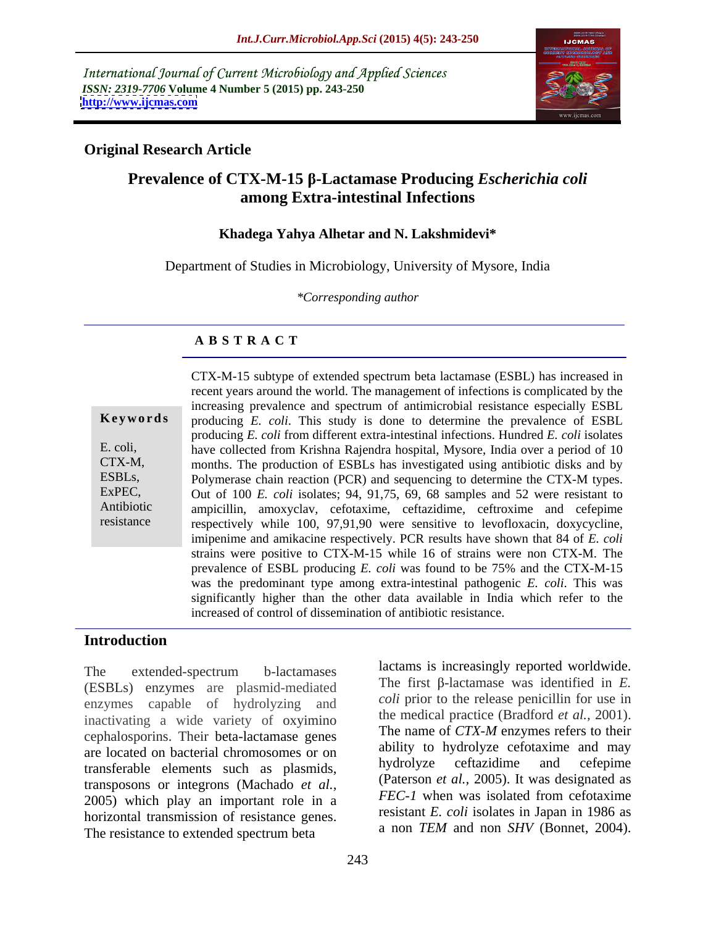International Journal of Current Microbiology and Applied Sciences *ISSN: 2319-7706* **Volume 4 Number 5 (2015) pp. 243-250 <http://www.ijcmas.com>**



## **Original Research Article**

# **Prevalence of CTX-M-15 -Lactamase Producing** *Escherichia coli* **among Extra-intestinal Infections**

### **Khadega Yahya Alhetar and N. Lakshmidevi\***

Department of Studies in Microbiology, University of Mysore, India

*\*Corresponding author*

## **A B S T R A C T**

resistance

CTX-M-15 subtype of extended spectrum beta lactamase (ESBL) has increased in recent years around the world. The management of infections is complicated by the increasing prevalence and spectrum of antimicrobial resistance especially ESBL **Keywords** producing E. coli. This study is done to determine the prevalence of ESBL producing *E. coli* from different extra-intestinal infections. Hundred *E. coli* isolates E. coli, have collected from Krishna Rajendra hospital, Mysore, India over a period of 10 months. The production of ESBLs has investigated using antibiotic disksand by CTX-M, ESBLs, Polymerase chain reaction (PCR) and sequencing to determine the CTX-M types. ExPEC, Out of 100 *E. coli* isolates; 94, 91,75, 69, 68 samples and 52 were resistant to ampicillin, amoxyclav, cefotaxime, ceftazidime, ceftroxime and cefepime Antibiotic respectively while 100, 97,91,90 were sensitive to levofloxacin, doxycycline, imipenime and amikacine respectively. PCR results have shown that 84 of *E. coli* strains were positive to CTX-M-15 while 16 of strains were non CTX-M. The prevalence of ESBL producing *E. coli* was found to be 75% and the CTX-M-15 was the predominant type among extra-intestinal pathogenic *E. coli*. This was significantly higher than the other data available in India which refer to the increased of control of dissemination of antibiotic resistance.

## **Introduction**

The extended-spectrum b-lactamases actually is increasingly reported worldwide. (ESBLs) enzymes are plasmid-mediated enzymes capable of hydrolyzing and inactivating a wide variety of oxyimino cephalosporins. Their beta-lactamase genes are located on bacterial chromosomes or on abulity to hydrolyze cerotaxime and may<br>transformate algements such as plasmids bydrolyze certazidime and cefepime transferable elements such as plasmids, transposons or integrons (Machado *et al.,* 2005) which play an important role in a horizontal transmission of resistance genes. The resistance to extended spectrum beta

(Paterson *et al.,* 2005). It was designated as *FEC-1* when was isolated from cefotaxime resistant *E. coli* isolates in Japan in 1986 as a non *TEM* and non *SHV* (Bonnet, 2004).

lactams is increasingly reported worldwide. The first  $\beta$ -lactamase was identified in *E*. *coli* prior to the release penicillin for use in the medical practice (Bradford *et al.,* 2001). The name of *CTX-M* enzymes refers to their ability to hydrolyze cefotaxime and may

hydrolyze ceftazidime and cefepime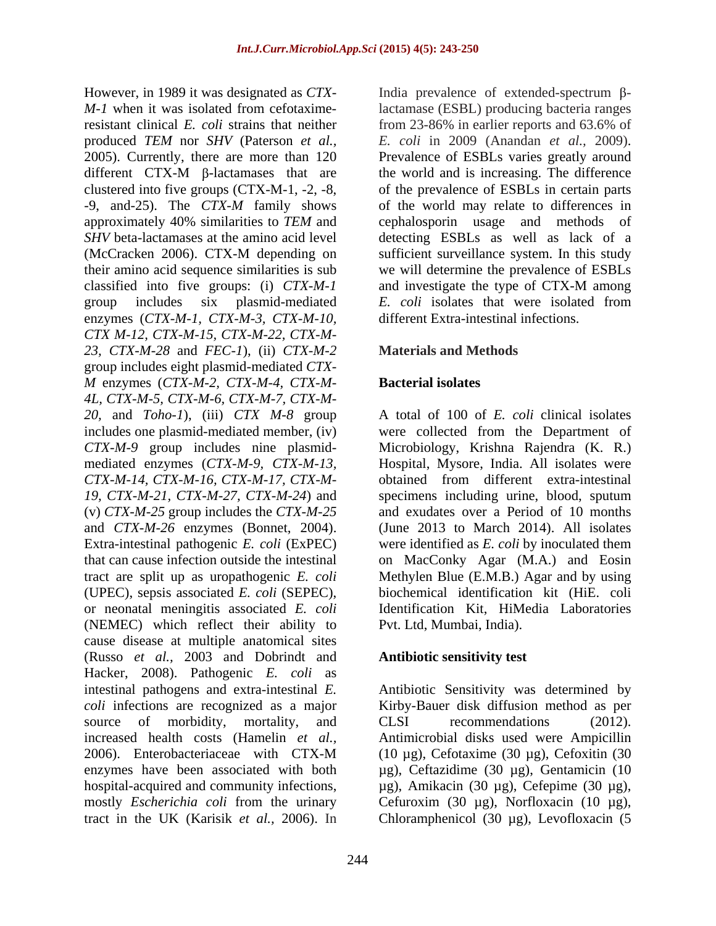*M-1* when it was isolated from cefotaxime-lactamase (ESBL) producing bacteria ranges resistant clinical *E. coli* strains that neither produced *TEM* nor *SHV* (Paterson *et al., E. coli* in 2009 (Anandan *et al.,* 2009). 2005). Currently, there are more than 120 different  $CTX-M$   $\beta$ -lactamases that are the world and is increasing. The difference clustered into five groups (CTX-M-1, -2, -8, of the prevalence of ESBLs in certain parts -9, and-25). The *CTX-M* family shows of the world may relate to differences in approximately 40% similarities to *TEM* and *SHV* beta-lactamases at the amino acid level detecting ESBLs as well as lack of a (McCracken 2006). CTX-M depending on sufficient surveillance system. In this study their amino acid sequence similarities is sub we will determine the prevalence of ESBLs classified into five groups: (i) *CTX-M-1* group includes six plasmid-mediated *E. coli* isolates that were isolated from enzymes (*CTX-M-1, CTX-M-3, CTX-M-10, CTX M-12, CTX-M-15, CTX-M-22, CTX-M- 23, CTX-M-28* and *FEC-1*), (ii) *CTX-M-2*  group includes eight plasmid-mediated *CTX- M* enzymes (*CTX-M-2, CTX-M-4, CTX-M- 4L, CTX-M-5, CTX-M-6, CTX-M-7, CTX-M- 20,* and *Toho-1*), (iii) *CTX M-8* group includes one plasmid-mediated member, (iv) were collected from the Department of *CTX-M-9* group includes nine plasmid- Microbiology, Krishna Rajendra (K. R.) mediated enzymes (*CTX-M-9, CTX-M-13,*  Hospital, Mysore, India. All isolates were *CTX-M-14, CTX-M-16, CTX-M-17, CTX-M- 19, CTX-M-21, CTX-M-27, CTX-M-24*) and specimens including urine, blood, sputum (v) *CTX-M-25* group includes the *CTX-M-25* and *CTX-M-26* enzymes (Bonnet, 2004). (June 2013 to March 2014). All isolates Extra-intestinal pathogenic *E. coli* (ExPEC) that can cause infection outside the intestinal on MacConky Agar (M.A.) and Eosin tract are split up as uropathogenic *E. coli* Methylen Blue (E.M.B.) Agar and by using (UPEC), sepsis associated *E. coli* (SEPEC), biochemical identification kit (HiE. coli or neonatal meningitis associated *E. coli* (NEMEC) which reflect their ability to cause disease at multiple anatomical sites (Russo *et al.,* 2003 and Dobrindt and Hacker, 2008). Pathogenic *E. coli* as intestinal pathogens and extra-intestinal *E.*  Antibiotic Sensitivity was determined by *coli* infections are recognized as a major Kirby-Bauer disk diffusion method as per source of morbidity, mortality, and CLSI recommendations (2012). increased health costs (Hamelin *et al.,* Antimicrobial disks used were Ampicillin 2006). Enterobacteriaceae with CTX-M (10 µg), Cefotaxime (30 µg), Cefoxitin (30 enzymes have been associated with both µg), Ceftazidime (30 µg), Gentamicin (10 hospital-acquired and community infections, µg), Amikacin (30 µg), Cefepime (30 µg), mostly *Escherichia coli* from the urinary Cefuroxim (30 µg), Norfloxacin (10 µg),

However, in 1989 it was designated as *CTX*- India prevalence of extended-spectrum βfrom 23-86% in earlier reports and 63.6% of Prevalence of ESBLs varies greatly around the world and is increasing. The difference of the prevalence of ESBLs in certain parts of the world may relate to differences in cephalosporin usage and methods of sufficient surveillance system. In this study and investigate the type of CTX-M among different Extra-intestinal infections.

# **Materials and Methods**

# **Bacterial isolates**

A total of 100 of *E. coli* clinical isolates obtained from different extra-intestinal and exudates over a Period of 10 months were identified as *E. coli* by inoculated them Identification Kit, HiMedia Laboratories Pvt. Ltd, Mumbai, India).

### **Antibiotic sensitivity test**

tract in the UK (Karisik *et al.,* 2006). In Chloramphenicol (30 µg), Levofloxacin (5CLSI recommendations (2012).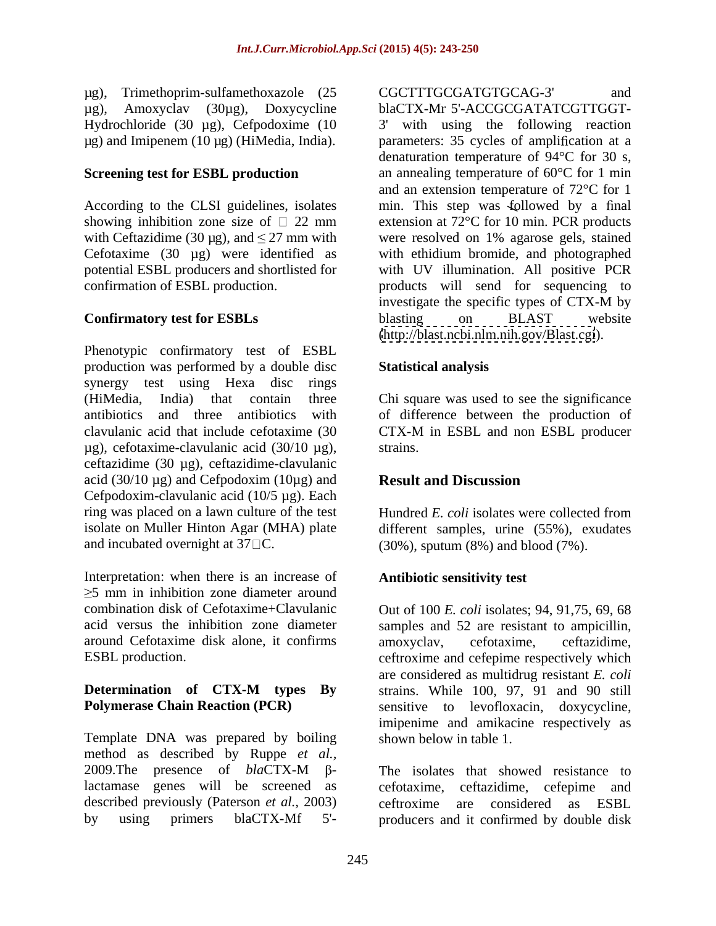µg), Trimethoprim-sulfamethoxazole (25 Hydrochloride (30 µg), Cefpodoxime (10 3'

Phenotypic confirmatory test of ESBL production was performed by a double disc synergy test using Hexa disc rings (HiMedia, India) that contain three Chi square was used to see the significance antibiotics and three antibiotics with of difference between the production of clavulanic acid that include cefotaxime (30 CTX-M in ESBL and non ESBL producer  $\mu$ g), cefotaxime-clavulanic acid (30/10  $\mu$ g), strains. ceftazidime (30 µg), ceftazidime-clavulanic acid (30/10  $\mu$ g) and Cefpodoxim (10 $\mu$ g) and **Result and Discussion** Cefpodoxim-clavulanic acid (10/5 µg). Each ring was placed on a lawn culture of the test Hundred E. coli isolates were collected from isolate on Muller Hinton Agar (MHA) plate different samples, urine (55%), exudates

Interpretation: when there is an increase of 5 mm in inhibition zone diameter around acid versus the inhibition zone diameter samples and 52 are resistant to ampicillin, around Cefotaxime disk alone, it confirms

Template DNA was prepared by boiling method as described by Ruppe *et al.,* 2009. The presence of  $blaCTX-M$   $\beta$ - The isolates that showed resistance to described previously (Paterson *et al.,* 2003)

µg), Amoxyclav (30µg), Doxycycline blaCTX-Mr 5'-ACCGCGATATCGTTGGT µg) and Imipenem (10 μg) (HiMedia, India). The parameters: 35 cycles of amplification at a **Screening test for ESBL production** an annealing temperature of 60°C for 1 min According to the CLSI guidelines, isolates min. This step was followed by a final showing inhibition zone size of  $\Box$  22 mm extension at 72 $\degree$ C for 10 min. PCR products with Ceftazidime (30  $\mu$ g), and  $\leq$  27 mm with were resolved on 1% agarose gels, stained Cefotaxime (30 µg) were identified as with ethidium bromide, and photographed potential ESBL producers and shortlisted for with UV illumination. All positive PCR confirmation of ESBL production. products will send for sequencing to **Confirmatory test for ESBLs** blasting on BLAST website pg), Trianshopin-suffamelihoories (SCCTTTGCGATGTCGATGCAGE)<br>  $\mu$ g), Amonopolis (SQC), Doxycycline (MCTTGCGATGTCGCATGTCGCATG)<br>
Hy using primeric (10 pg), Capoloonics (10 mg) and longitudinal primeric and structure (3) with with using the following reaction denaturation temperature of 94°C for 30 s, and an extension temperature of 72°C for 1 investigate the specific types of CTX-M by blasting on BLAST website [\(http://blast.ncbi.nlm.nih.gov/Blast.cgi](http://blast.ncbi.nlm.nih.gov/Blast.cgi)).

## **Statistical analysis**

CTX-M in ESBL and non ESBL producer strains.

# **Result and Discussion**

and incubated overnight at  $37\Box$ C. (30%), sputum (8%) and blood (7%). Hundred *E. coli* isolates were collected from

# **Antibiotic sensitivity test**

combination disk of Cefotaxime+Clavulanic Out of 100 *E. coli* isolates; 94, 91,75, 69, 68 ESBL production. The ceftroxime and cefepime respectively which **Determination of CTX-M types By Polymerase Chain Reaction (PCR)** sensitive to levofloxacin, doxycycline, samples and 52 are resistant to ampicillin,<br>amoxyclav, cefotaxime, ceftazidime, are considered as multidrug resistant *E. coli* strains. While 100, 97, 91 and 90 still imipenime and amikacine respectively as shown below in table 1.

lactamase genes will be screened as cefotaxime, ceftazidime, cefepime and The isolates that showed resistance to ceftroxime are considered as ESBL producers and it confirmed by double disk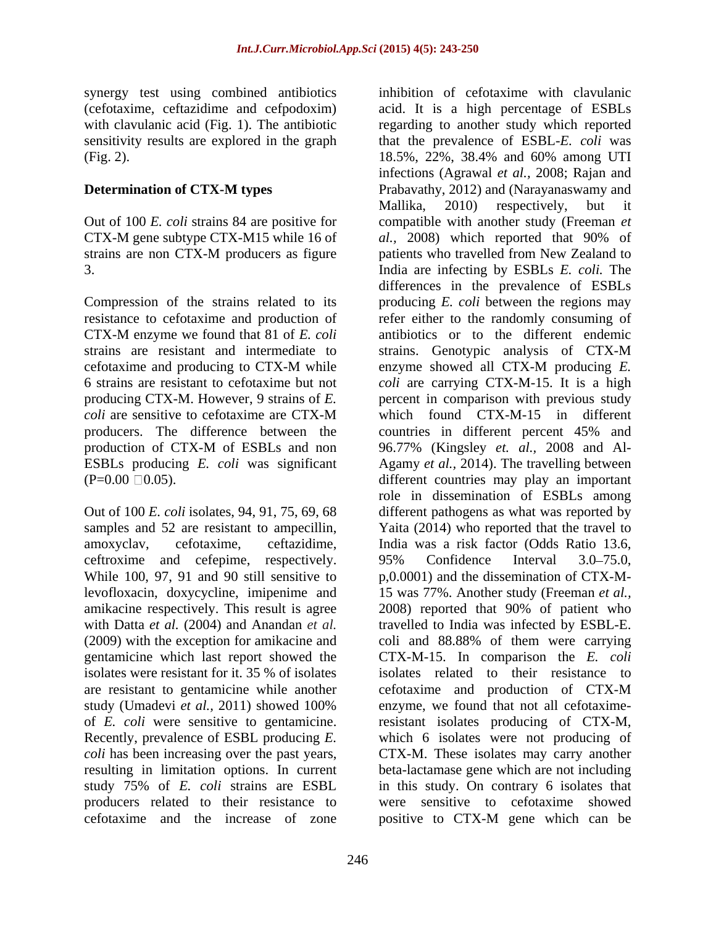synergy test using combined antibiotics (Fig. 2). 18.5%, 22%, 38.4% and 60% among UTI

Compression of the strains related to its producers. The difference between the countries in different percent 45% and

samples and 52 are resistant to ampecillin, ceftroxime and cefepime, respectively. 95% Confidence Interval 3.0–75.0, While 100, 97, 91 and 90 still sensitive to isolates were resistant for it. 35 % of isolates cefotaxime and the increase of zone

(cefotaxime, ceftazidime and cefpodoxim) acid. It is a high percentage of ESBLs with clavulanic acid (Fig. 1). The antibiotic regarding to another study which reported sensitivity results are explored in the graph that the prevalence of ESBL-*E. coli* was **Determination of CTX-M types** Prabavathy, 2012) and (Narayanaswamy and Out of 100 *E. coli* strains 84 are positive for compatible with another study (Freeman *et*  CTX-M gene subtype CTX-M15 while 16 of *al.,* 2008) which reported that 90% of strains are non CTX-M producers as figure patients who travelled from New Zealand to 3. India are infecting by ESBLs *E. coli.* The resistance to cefotaxime and production of refer either to the randomly consuming of CTX-M enzyme we found that 81 of *E. coli* antibiotics or to the different endemic strains are resistant and intermediate to strains. Genotypic analysis of CTX-M cefotaxime and producing to CTX-M while  $\qquad$  enzyme showed all CTX-M producing  $E$ . 6 strains are resistant to cefotaxime but not *coli* are carrying CTX-M-15. It is a high producing CTX-M. However, 9 strains of *E.*  percent in comparison with previous study *coli* are sensitive to cefotaxime are CTX-M which found CTX-M-15 in different production of CTX-M of ESBLs and non 96.77% (Kingsley *et. al.,* 2008 and Al-ESBLs producing *E. coli* was significant Agamy *et al.,* 2014). The travelling between  $(P=0.00 \square 0.05)$ . different countries may play an important Out of 100 *E. coli* isolates, 94, 91, 75, 69, 68 different pathogens as what was reported by amoxyclav, cefotaxime, ceftazidime, India was a risk factor (Odds Ratio 13.6, levofloxacin, doxycycline, imipenime and 15 was 77%. Another study (Freeman *et al.,* amikacine respectively. This result is agree 2008) reported that 90% of patient who with Datta *et al.* (2004) and Anandan *et al.* travelled to India was infected by ESBL-E. (2009) with the exception for amikacine and coli and 88.88% of them were carrying gentamicine which last report showed the CTX-M-15. In comparison the *E. coli* are resistant to gentamicine while another cefotaxime and production of CTX-M study (Umadevi *et al.,* 2011) showed 100% of *E. coli* were sensitive to gentamicine. resistant isolates producing of CTX-M, Recently, prevalence of ESBL producing *E.*  which 6 isolates were not producing of *coli* has been increasing over the past years, CTX-M. These isolates may carry another resulting in limitation options. In current beta-lactamase gene which are not including study 75% of *E. coli* strains are ESBL producers related to their resistance to were sensitive to cefotaxime showed inhibition of cefotaxime with clavulanic 18.5%, 22%, 38.4% and 60% among UTI infections (Agrawal *et al.,* 2008; Rajan and Mallika, 2010) respectively, but it patients who travelled from New Zealand to differences in the prevalence of ESBLs producing *E. coli* between the regions may enzyme showed all CTX-M producing *E.*  countries in different percent 45% and 96.77% (Kingsley *et. al.,* 2008 and Al role in dissemination of ESBLs among Yaita (2014) who reported that the travel to 95% Confidence Interval 3.0–75.0, p,0.0001) and the dissemination of CTX-M isolates related to their resistance to enzyme, we found that not all cefotaximein this study. On contrary 6 isolates that positive to CTX-M gene which can be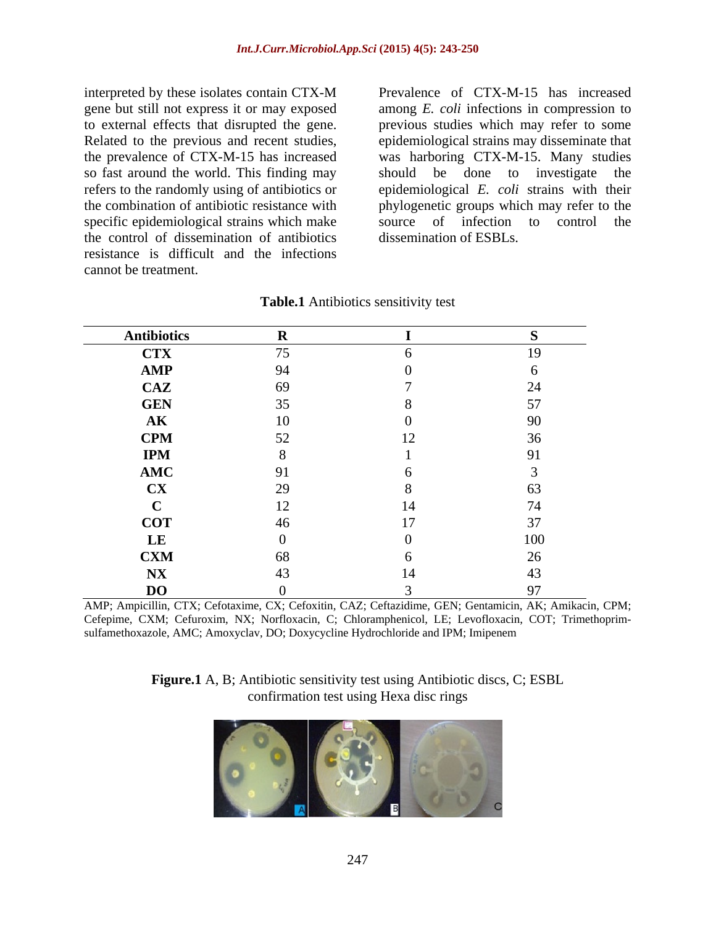interpreted by these isolates contain CTX-M gene but still not express it or may exposed to external effects that disrupted the gene. so fast around the world. This finding may should be done to investigate the specific epidemiological strains which make the control of dissemination of antibiotics resistance is difficult and the infections cannot be treatment.

Related to the previous and recent studies, epidemiological strains may disseminate that the prevalence of CTX-M-15 has increased was harboring CTX-M-15. Many studies refers to the randomly using of antibiotics or epidemiological *E. coli* strains with their the combination of antibiotic resistance with phylogenetic groups which may refer to the Prevalence of CTX-M-15 has increased among *E. coli* infections in compression to previous studies which may refer to some should be done to investigate the source of infection to control the dissemination of ESBLs.

| <b>Antibiotics</b> |            |                           |                 |
|--------------------|------------|---------------------------|-----------------|
| <b>CTX</b>         | 75         |                           | $\overline{10}$ |
| AMP                | 94         |                           |                 |
| CAZ                | 69         |                           |                 |
| <b>GEN</b>         | 35         |                           |                 |
| $\mathbf{AK}$      | 10         |                           |                 |
| <b>CPM</b>         | 52<br>ے ب  | 1 <sub>2</sub><br>$\perp$ |                 |
| <b>IPM</b>         |            |                           |                 |
| AMC                | $\Omega$ 1 |                           |                 |
| <b>CX</b>          | 29         |                           |                 |
|                    | 12         | 14                        |                 |
| <b>COT</b>         | 46         | 17                        |                 |
| LE                 |            |                           |                 |
| <b>CXM</b>         | 68         |                           |                 |
| N X                | $\Lambda$  | 14                        |                 |
| <b>DO</b>          |            |                           |                 |

**Table.1** Antibiotics sensitivity test

AMP; Ampicillin, CTX; Cefotaxime, CX; Cefoxitin, CAZ; Ceftazidime, GEN; Gentamicin, AK; Amikacin, CPM; Cefepime, CXM; Cefuroxim, NX; Norfloxacin, C; Chloramphenicol, LE; Levofloxacin, COT; Trimethoprim sulfamethoxazole, AMC; Amoxyclav, DO; Doxycycline Hydrochloride and IPM; Imipenem

**Figure.1** A, B; Antibiotic sensitivity test using Antibiotic discs, C; ESBL confirmation test using Hexa disc rings

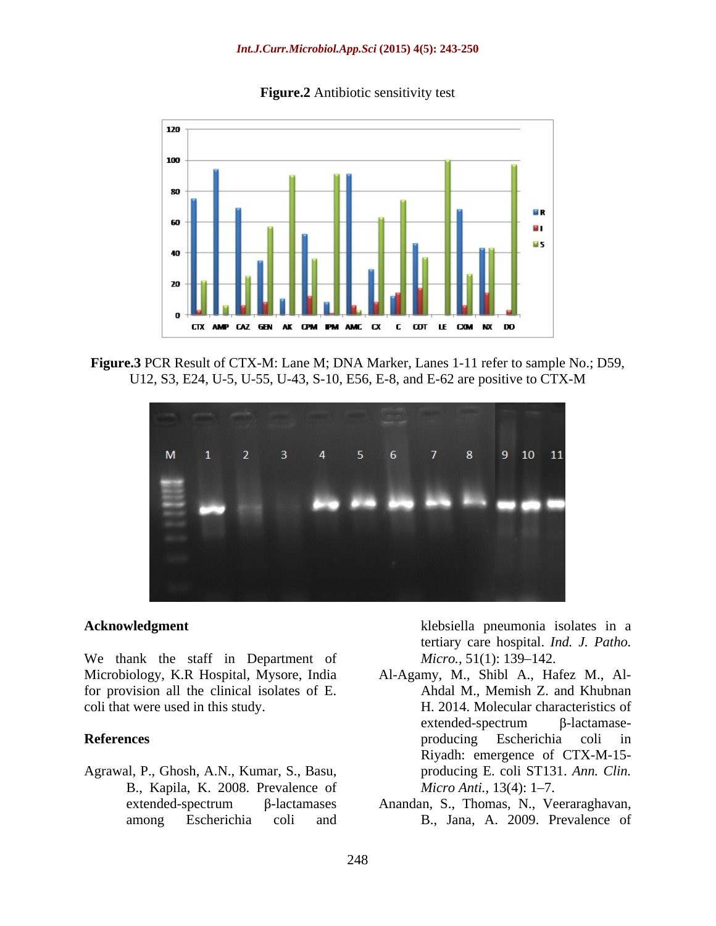

### **Figure.2** Antibiotic sensitivity test

**Figure.3** PCR Result of CTX-M: Lane M; DNA Marker, Lanes 1-11 refer to sample No.; D59, U12, S3, E24, U-5, U-55, U-43, S-10, E56, E-8, and E-62 are positive to CTX-M



We thank the staff in Department of *Micro.*, 51(1): 139–142. Microbiology, K.R Hospital, Mysore, India for provision all the clinical isolates of E.

Agrawal, P., Ghosh, A.N., Kumar, S., Basu, B., Kapila, K. 2008. Prevalence of *Micro Anti.*, 13(4): 1–7.

**Acknowledgment** klebsiella pneumonia isolates in a tertiary care hospital. *Ind. J. Patho. Micro.,* 51(1): 139–142.

- coli that were used in this study. H. 2014. Molecular characteristics of **References** and **References** and **References** and **References** and **References** and **References** and **References** and **References** and **References** and **References** and **References** and **References** and **References** and Al-Agamy, M., Shibl A., Hafez M., Al- Ahdal M., Memish Z. and Khubnan  $extended-spectrum$   $\beta$ -lactamaseproducing Escherichia coli in Riyadh: emergence of CTX-M-15 producing E. coli ST131. *Ann. Clin. Micro Anti.,* 13(4): 1–7.
	- extended-spectrum β-lactamases Anandan, S., Thomas, N., Veeraraghavan, among Escherichia coli and B., Jana, A. 2009. Prevalence of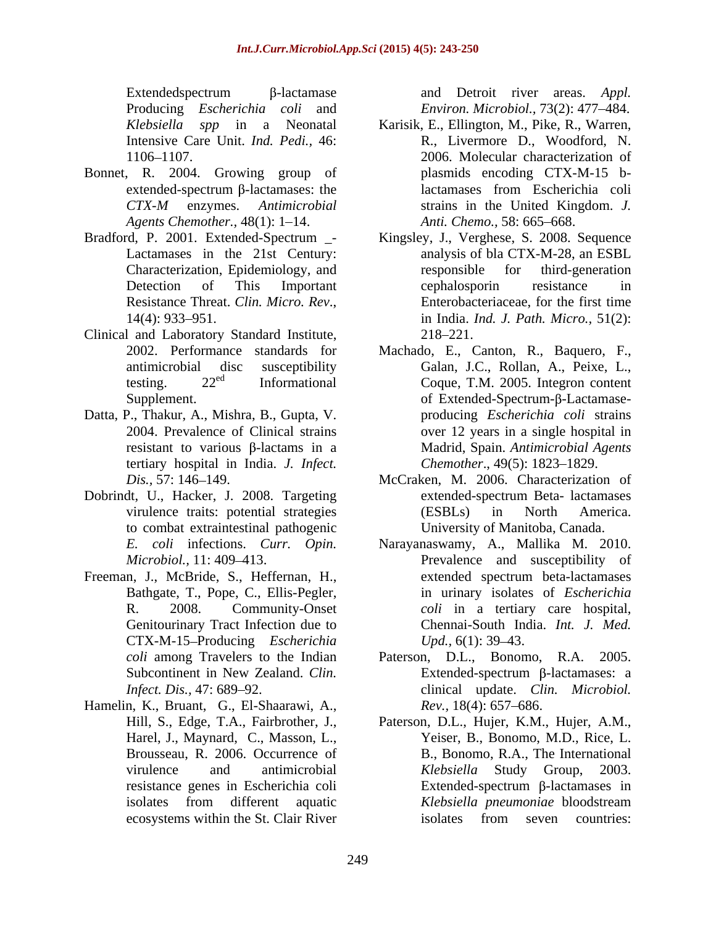Producing *Escherichia coli* and *Environ. Microbiol.,* 73(2): 477 484.

- Bonnet, R. 2004. Growing group of *Agents Chemother.,* 48(1): 1–14.
- 
- Clinical and Laboratory Standard Institute,
- Datta, P., Thakur, A., Mishra, B., Gupta, V. tertiary hospital in India. *J. Infect.*
- Dobrindt, U., Hacker, J. 2008. Targeting to combat extraintestinal pathogenic
- Freeman, J., McBride, S., Heffernan, H., Bathgate, T., Pope, C., Ellis-Pegler, Genitourinary Tract Infection due to CTX-M-15 Producing *Escherichia*
- Hamelin, K., Bruant, G., El-Shaarawi, A., Harel, J., Maynard, C., Masson, L.,

Extendedspectrum β-lactamase and Detroit river areas. *Appl.* 

- *Klebsiella spp* in a Neonatal Karisik, E., Ellington, M., Pike, R., Warren, Intensive Care Unit. *Ind. Pedi.,* 46: R., Livermore D., Woodford, N. 1106 1107. 2006. Molecular characterization of extended-spectrum β-lactamases: the lactamases from Escherichia coli *CTX-M* enzymes. *Antimicrobial*  plasmids encoding CTX-M-15 blactamases from Escherichia coli strains in the United Kingdom. *J.*  Anti. Chemo., 58: 665-668.
- Bradford, P. 2001. Extended-Spectrum \_- Kingsley, J., Verghese, S. 2008. Sequence Lactamases in the 21st Century: analysis of bla CTX-M-28, an ESBL Characterization, Epidemiology, and Detection of This Important cephalosporin resistance in Resistance Threat. *Clin. Micro. Rev.*,<br>14(4): 933–951. **In Example 11** and *nd. J. Path. Micro.*, 51(2): responsible for third-generation cephalosporin resistance in Enterobacteriaceae, for the first time in India. *Ind. J. Path. Micro.,* 51(2): 218–221.
	- 2002. Performance standards for Machado, E., Canton, R., Baquero, F., antimicrobial disc susceptibility Galan, J.C., Rollan, A., Peixe, L., testing. 22<sup>ed</sup> Informational Coque, T.M. 2005. Integron content Supplement. The same state of Extended-Spectrum- $\beta$ -Lactamase-2004. Prevalence of Clinical strains over 12 years in a single hospital in resistant to various β-lactams in a Madrid, Spain. *Antimicrobial Agents* producing *Escherichia coli* strains *Chemother., 49(5): 1823-1829.*
	- *Dis.,* 57: 146 149. McCraken, M. 2006. Characterization of virulence traits: potential strategies (ESBLs) in North America. extended-spectrum Beta- lactamases (ESBLs) in North America. University of Manitoba, Canada.
	- *E. coli* infections. *Curr. Opin.* Narayanaswamy, A., Mallika M. 2010. *Microbiol.*, 11: 409–413. The Prevalence and susceptibility of R. 2008. Community-Onset *coli* in a tertiary care hospital, extended spectrum beta-lactamases in urinary isolates of *Escherichia*  Chennai-South India. *Int. J. Med. Upd.,* 6(1): 39–43.
	- *coli* among Travelers to the Indian Paterson, D.L., Bonomo, R.A. 2005. Subcontinent in New Zealand. *Clin*. **Extended-spectrum ß-lactamases: a** *Infect. Dis.,* 47: 689–92. clinical update. *Clin. Microbiol.* Extended-spectrum  $\beta$ -lactamases: a *Rev.,* 18(4): 657–686.
	- Hill, S., Edge, T.A., Fairbrother, J., Paterson, D.L., Hujer, K.M., Hujer, A.M., Brousseau, R. 2006. Occurrence of B., Bonomo, R.A., The International virulence and antimicrobial *Klebsiella* Study Group, 2003. resistance genes in Escherichia coli isolates from different aquatic *Klebsiella pneumoniae* bloodstream ecosystems within the St. Clair River isolates from seven countries: Yeiser, B., Bonomo, M.D., Rice, L. *Klebsiella* Study Group, 2003. Extended-spectrum  $\beta$ -lactamases in *Klebsiella pneumoniae* bloodstream isolates from seven countries: